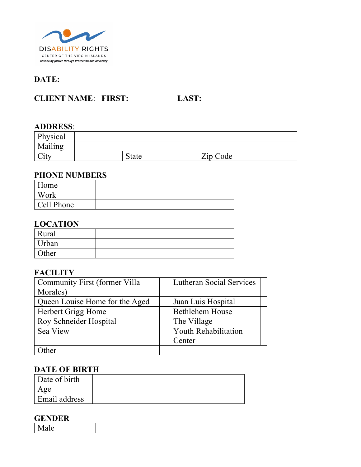

# **DATE:**

## **CLIENT NAME**: **FIRST: LAST:**

#### **ADDRESS**:

| Physical                                 |              |          |  |
|------------------------------------------|--------------|----------|--|
| Mailing                                  |              |          |  |
| $\bigcap_{i\in\mathcal{I}}$<br>$\cup$ it | <b>State</b> | Zip Code |  |

#### **PHONE NUMBERS**

| Home       |  |
|------------|--|
| Work       |  |
| Cell Phone |  |

#### **LOCATION**

| Rural |  |
|-------|--|
| Urban |  |
| Other |  |

### **FACILITY**

| Community First (former Villa  | <b>Lutheran Social Services</b> |
|--------------------------------|---------------------------------|
| Morales)                       |                                 |
| Queen Louise Home for the Aged | Juan Luis Hospital              |
| Herbert Grigg Home             | <b>Bethlehem House</b>          |
| Roy Schneider Hospital         | The Village                     |
| Sea View                       | <b>Youth Rehabilitation</b>     |
|                                | Center                          |
| her                            |                                 |

#### **DATE OF BIRTH**

| Date of birth        |  |
|----------------------|--|
| σe                   |  |
| <b>Email address</b> |  |

#### **GENDER**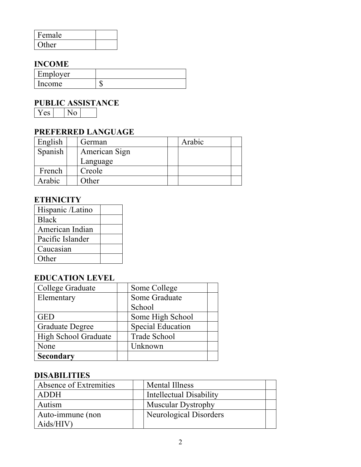| Female |  |
|--------|--|
| Other  |  |

## **INCOME**

| Employer |    |
|----------|----|
| l Income | ыZ |

# **PUBLIC ASSISTANCE**

Yes<sup>1</sup>

## **PREFERRED LANGUAGE**

| English | German        | Arabic |  |
|---------|---------------|--------|--|
| Spanish | American Sign |        |  |
|         | Language      |        |  |
| French  | Creole        |        |  |
| Arabic  | Other         |        |  |

## **ETHNICITY**

| Hispanic /Latino |  |
|------------------|--|
| <b>Black</b>     |  |
| American Indian  |  |
| Pacific Islander |  |
| Caucasian        |  |
| Other            |  |

## **EDUCATION LEVEL**

| College Graduate            | Some College             |
|-----------------------------|--------------------------|
| Elementary                  | Some Graduate            |
|                             | School                   |
| GED                         | Some High School         |
| <b>Graduate Degree</b>      | <b>Special Education</b> |
| <b>High School Graduate</b> | <b>Trade School</b>      |
| None                        | Unknown                  |
| <b>Secondary</b>            |                          |

## **DISABILITIES**

| Absence of Extremities | Mental Illness            |
|------------------------|---------------------------|
| ADDH                   | Intellectual Disability   |
| Autism                 | <b>Muscular Dystrophy</b> |
| Auto-immune (non       | Neurological Disorders    |
| Aids/HIV               |                           |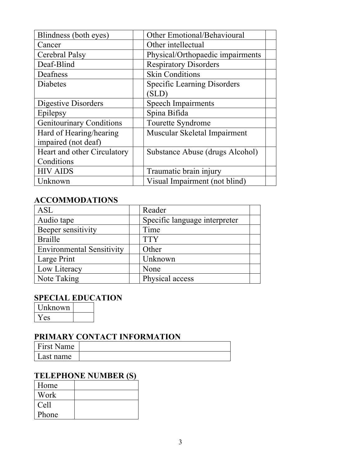| Blindness (both eyes)           | Other Emotional/Behavioural        |
|---------------------------------|------------------------------------|
| Cancer                          | Other intellectual                 |
| Cerebral Palsy                  | Physical/Orthopaedic impairments   |
| Deaf-Blind                      | <b>Respiratory Disorders</b>       |
| Deafness                        | <b>Skin Conditions</b>             |
| <b>Diabetes</b>                 | <b>Specific Learning Disorders</b> |
|                                 | (SLD)                              |
| Digestive Disorders             | <b>Speech Impairments</b>          |
| Epilepsy                        | Spina Bifida                       |
| <b>Genitourinary Conditions</b> | Tourette Syndrome                  |
| Hard of Hearing/hearing         | Muscular Skeletal Impairment       |
| impaired (not deaf)             |                                    |
| Heart and other Circulatory     | Substance Abuse (drugs Alcohol)    |
| Conditions                      |                                    |
| <b>HIV AIDS</b>                 | Traumatic brain injury             |
| Unknown                         | Visual Impairment (not blind)      |

## **ACCOMMODATIONS**

| <b>ASL</b>                       | Reader                        |
|----------------------------------|-------------------------------|
| Audio tape                       | Specific language interpreter |
| Beeper sensitivity               | Time                          |
| <b>Braille</b>                   | <b>TTY</b>                    |
| <b>Environmental Sensitivity</b> | Other                         |
| Large Print                      | Unknown                       |
| Low Literacy                     | None                          |
| Note Taking                      | Physical access               |

#### **SPECIAL EDUCATION**

Unknown Yes

## **PRIMARY CONTACT INFORMATION**

| First Name |  |
|------------|--|
| Last name  |  |

# **TELEPHONE NUMBER (S)**

| Home  |  |
|-------|--|
| Work  |  |
| Cell  |  |
| Phone |  |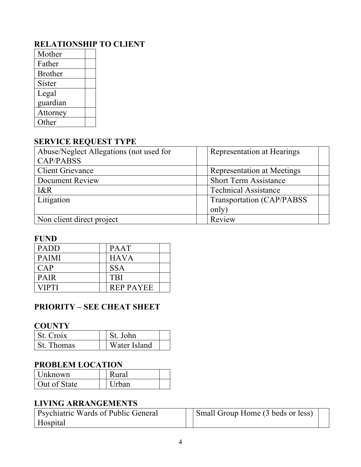# **RELATIONSHIP TO CLIENT**

| Mother         |  |
|----------------|--|
| Father         |  |
| <b>Brother</b> |  |
| Sister         |  |
| Legal          |  |
| guardian       |  |
| Attorney       |  |
| Other          |  |

## **SERVICE REQUEST TYPE**

| Abuse/Neglect Allegations (not used for | Representation at Hearings        |
|-----------------------------------------|-----------------------------------|
| <b>CAP/PABSS</b>                        |                                   |
| <b>Client Grievance</b>                 | <b>Representation at Meetings</b> |
| Document Review                         | <b>Short Term Assistance</b>      |
| $I\&R$                                  | <b>Technical Assistance</b>       |
| Litigation                              | Transportation (CAP/PABSS)        |
|                                         | only)                             |
| Non client direct project               | Review                            |

#### **FUND**

| <b>PADD</b>  | <b>PAAT</b>      |
|--------------|------------------|
| <b>PAIMI</b> | <b>HAVA</b>      |
| CAP          | <b>SSA</b>       |
| <b>PAIR</b>  | <b>TBI</b>       |
| VIPTI        | <b>REP PAYEE</b> |

## **PRIORITY – SEE CHEAT SHEET**

#### **COUNTY**

| l St. Croix | St. John     |  |
|-------------|--------------|--|
| St. Thomas  | Water Island |  |

## **PROBLEM LOCATION**

| Unknown      | Rural        |
|--------------|--------------|
| Out of State | <b>Urban</b> |

## **LIVING ARRANGEMENTS**

| Psychiatric Wards of Public General | Small Group Home (3 beds or less) |  |
|-------------------------------------|-----------------------------------|--|
| Hospital                            |                                   |  |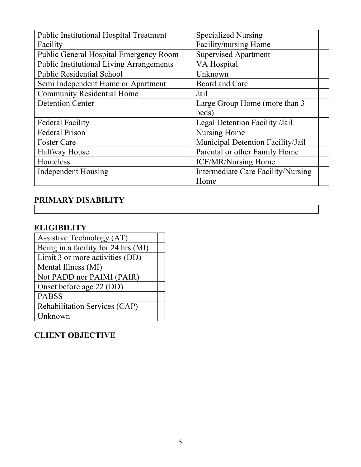| <b>Public Institutional Hospital Treatment</b>  | <b>Specialized Nursing</b>                |  |
|-------------------------------------------------|-------------------------------------------|--|
| Facility                                        | Facility/nursing Home                     |  |
| <b>Public General Hospital Emergency Room</b>   | <b>Supervised Apartment</b>               |  |
| <b>Public Institutional Living Arrangements</b> | VA Hospital                               |  |
| <b>Public Residential School</b>                | Unknown                                   |  |
| Semi Independent Home or Apartment              | Board and Care                            |  |
| <b>Community Residential Home</b>               | Jail                                      |  |
| <b>Detention Center</b>                         | Large Group Home (more than 3             |  |
|                                                 | beds)                                     |  |
| <b>Federal Facility</b>                         | Legal Detention Facility /Jail            |  |
| <b>Federal Prison</b>                           | Nursing Home                              |  |
| <b>Foster Care</b>                              | Municipal Detention Facility/Jail         |  |
| <b>Halfway House</b>                            | Parental or other Family Home             |  |
| Homeless                                        | <b>ICF/MR/Nursing Home</b>                |  |
| <b>Independent Housing</b>                      | <b>Intermediate Care Facility/Nursing</b> |  |
|                                                 | Home                                      |  |

# **PRIMARY DISABILITY**

# **ELIGIBILITY**

| Assistive Technology (AT)           |  |
|-------------------------------------|--|
| Being in a facility for 24 hrs (MI) |  |
| Limit 3 or more activities (DD)     |  |
| Mental Illness (MI)                 |  |
| Not PADD nor PAIMI (PAIR)           |  |
| Onset before age 22 (DD)            |  |
| <b>PABSS</b>                        |  |
| Rehabilitation Services (CAP)       |  |
| Unknown                             |  |

## **CLIENT OBJECTIVE**

**\_\_\_\_\_\_\_\_\_\_\_\_\_\_\_\_\_\_\_\_\_\_\_\_\_\_\_\_\_\_\_\_\_\_\_\_\_\_\_\_\_\_\_\_\_\_\_\_\_\_\_\_\_\_\_\_\_\_\_\_\_\_\_\_\_\_\_\_\_\_**

**\_\_\_\_\_\_\_\_\_\_\_\_\_\_\_\_\_\_\_\_\_\_\_\_\_\_\_\_\_\_\_\_\_\_\_\_\_\_\_\_\_\_\_\_\_\_\_\_\_\_\_\_\_\_\_\_\_\_\_\_\_\_\_\_\_\_\_\_\_\_**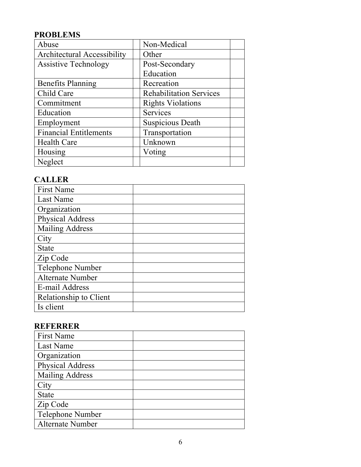# **PROBLEMS**

| Abuse                              | Non-Medical                    |
|------------------------------------|--------------------------------|
| <b>Architectural Accessibility</b> | Other                          |
| <b>Assistive Technology</b>        | Post-Secondary                 |
|                                    | Education                      |
| <b>Benefits Planning</b>           | Recreation                     |
| Child Care                         | <b>Rehabilitation Services</b> |
| Commitment                         | <b>Rights Violations</b>       |
| Education                          | Services                       |
| Employment                         | <b>Suspicious Death</b>        |
| <b>Financial Entitlements</b>      | Transportation                 |
| <b>Health Care</b>                 | Unknown                        |
| Housing                            | Voting                         |
| Neglect                            |                                |

## **CALLER**

| <b>First Name</b>       |  |
|-------------------------|--|
| Last Name               |  |
| Organization            |  |
| Physical Address        |  |
| <b>Mailing Address</b>  |  |
| City                    |  |
| <b>State</b>            |  |
| Zip Code                |  |
| Telephone Number        |  |
| <b>Alternate Number</b> |  |
| E-mail Address          |  |
| Relationship to Client  |  |
| Is client               |  |

# **REFERRER**

| <b>First Name</b>       |  |
|-------------------------|--|
| Last Name               |  |
| Organization            |  |
| <b>Physical Address</b> |  |
| <b>Mailing Address</b>  |  |
| City                    |  |
| <b>State</b>            |  |
| Zip Code                |  |
| Telephone Number        |  |
| <b>Alternate Number</b> |  |